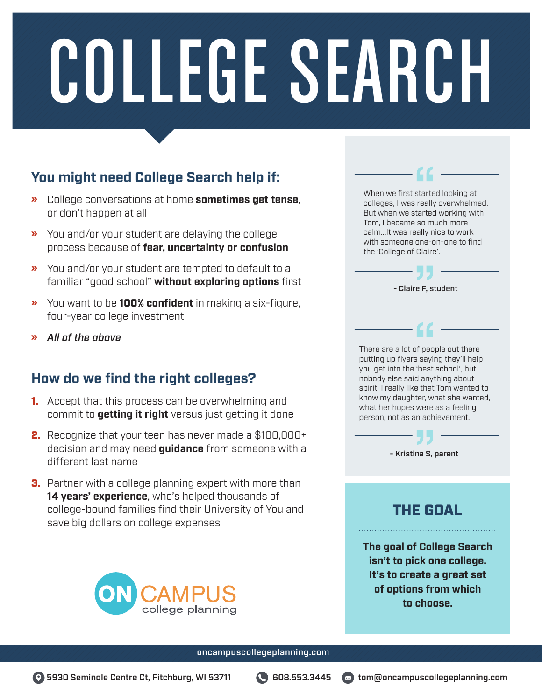## **You might need College Search help if:**

- » College conversations at home **sometimes get tense**, or don't happen at all
- » You and/or your student are delaying the college process because of **fear, uncertainty or confusion**
- » You and/or your student are tempted to default to a familiar "good school" **without exploring options** first
- » You want to be **100% confident** in making a six-figure, four-year college investment
- » *All of the above*

#### **How do we find the right colleges?**

- **1.** Accept that this process can be overwhelming and commit to **getting it right** versus just getting it done
- 2. Recognize that your teen has never made a \$100,000+ decision and may need **guidance** from someone with a different last name
- **3.** Partner with a college planning expert with more than **14 years' experience**, who's helped thousands of college-bound families find their University of You and save big dollars on college expenses



| colleges, I was really overwhelmed.<br>But when we started working with<br>Tom, I became so much more<br>calm It was really nice to work<br>with someone one-on-one to find<br>the 'College of Claire'.                                                                                                                                        |
|------------------------------------------------------------------------------------------------------------------------------------------------------------------------------------------------------------------------------------------------------------------------------------------------------------------------------------------------|
| - Claire F, student                                                                                                                                                                                                                                                                                                                            |
| - 66<br>There are a lot of people out there<br>putting up flyers saying they'll help<br>you get into the 'best school', but<br>nobody else said anything about<br>spirit. I really like that Tom wanted to<br>know my daughter, what she wanted,<br>what her hopes were as a feeling<br>person, not as an achievement.<br>- Kristina S, parent |
| THE GOA                                                                                                                                                                                                                                                                                                                                        |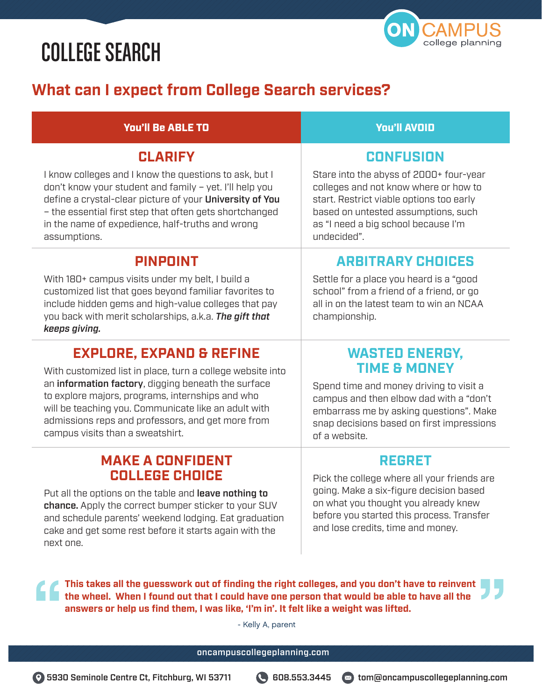

## **What can I expect from College Search services?**

#### You'll Be ABLE TO You'll AVOID

#### **CLARIFY**

I know colleges and I know the questions to ask, but I don't know your student and family – yet. I'll help you define a crystal-clear picture of your University of You – the essential first step that often gets shortchanged in the name of expedience, half-truths and wrong assumptions.

#### **PINPOINT**

With 180+ campus visits under my belt, I build a customized list that goes beyond familiar favorites to include hidden gems and high-value colleges that pay you back with merit scholarships, a.k.a. *The gift that keeps giving.* 

## **EXPLORE, EXPAND & REFINE**

With customized list in place, turn a college website into an information factory, digging beneath the surface to explore majors, programs, internships and who will be teaching you. Communicate like an adult with admissions reps and professors, and get more from campus visits than a sweatshirt.

#### **MAKE A CONFIDENT COLLEGE CHOICE**

Put all the options on the table and leave nothing to chance. Apply the correct bumper sticker to your SUV and schedule parents' weekend lodging. Eat graduation cake and get some rest before it starts again with the next one.

#### **CONFUSION**

Stare into the abyss of 2000+ four-year colleges and not know where or how to start. Restrict viable options too early based on untested assumptions, such as "I need a big school because I'm undecided".

#### **ARBITRARY CHOICES**

Settle for a place you heard is a "good school" from a friend of a friend, or go all in on the latest team to win an NCAA championship.

#### **WASTED ENERGY, TIME & MONEY**

Spend time and money driving to visit a campus and then elbow dad with a "don't embarrass me by asking questions". Make snap decisions based on first impressions of a website.

#### **REGRET**

Pick the college where all your friends are going. Make a six-figure decision based on what you thought you already knew before you started this process. Transfer and lose credits, time and money.

**This takes all the guesswork out of finding the right colleges, and you don't have to reinvent the wheel. When I found out that I could have one person that would be able to have all the answers or help us find them, I was like, 'I'm in'. It felt like a weight was lifted.**

- Kelly A, parent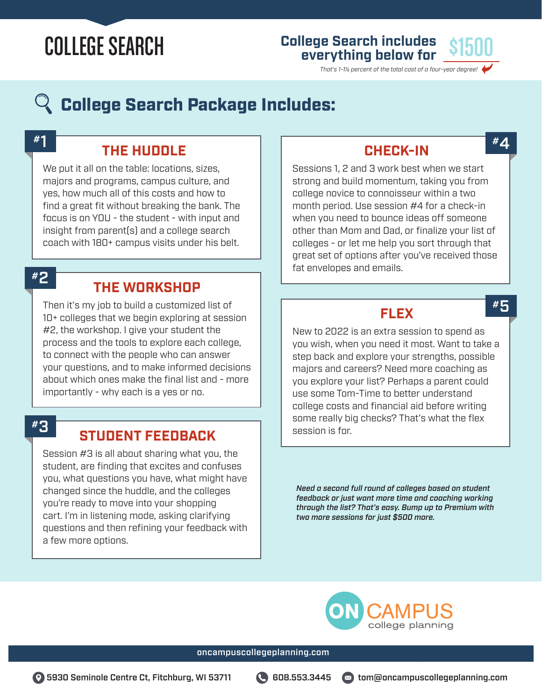# **College Search includes everything below for** \$1500

*That's 1-1½ percent of the total cost of a four-year degree!*

## $\mathbb Q$  College Search Package Includes:

#1

### **THE HUDDLE**

We put it all on the table: locations, sizes, majors and programs, campus culture, and yes, how much all of this costs and how to find a great fit without breaking the bank. The focus is on YOU - the student - with input and insight from parent(s) and a college search coach with 180+ campus visits under his belt.

#2

#### **THE WORKSHOP**

Then it's my job to build a customized list of 10+ colleges that we begin exploring at session #2, the workshop. I give your student the process and the tools to explore each college, to connect with the people who can answer your questions, and to make informed decisions about which ones make the final list and - more importantly - why each is a yes or no.

#3

#### **STUDENT FEEDBACK**

Session #3 is all about sharing what you, the student, are finding that excites and confuses you, what questions you have, what might have changed since the huddle, and the colleges you're ready to move into your shopping cart. I'm in listening mode, asking clarifying questions and then refining your feedback with a few more options.

#### **CHECK-IN**

#4

#5

Sessions 1, 2 and 3 work best when we start strong and build momentum, taking you from college novice to connoisseur within a two month period. Use session #4 for a check-in when you need to bounce ideas off someone other than Mom and Dad, or finalize your list of colleges - or let me help you sort through that great set of options after you've received those fat envelopes and emails.

**FLEX**

New to 2022 is an extra session to spend as you wish, when you need it most. Want to take a step back and explore your strengths, possible majors and careers? Need more coaching as you explore your list? Perhaps a parent could use some Tom-Time to better understand college costs and financial aid before writing some really big checks? That's what the flex session is for.

*Need a second full round of colleges based on student feedback or just want more time and coaching working through the list? That's easy. Bump up to Premium with two more sessions for just \$500 more.*